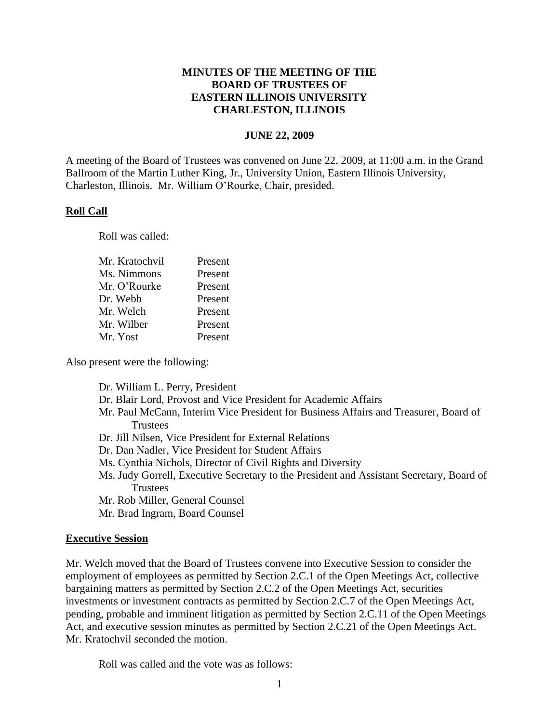# **MINUTES OF THE MEETING OF THE BOARD OF TRUSTEES OF EASTERN ILLINOIS UNIVERSITY CHARLESTON, ILLINOIS**

#### **JUNE 22, 2009**

A meeting of the Board of Trustees was convened on June 22, 2009, at 11:00 a.m. in the Grand Ballroom of the Martin Luther King, Jr., University Union, Eastern Illinois University, Charleston, Illinois. Mr. William O'Rourke, Chair, presided.

#### **Roll Call**

Roll was called:

| Mr. Kratochvil | Present |
|----------------|---------|
| Ms. Nimmons    | Present |
| Mr. O'Rourke   | Present |
| Dr. Webb       | Present |
| Mr. Welch      | Present |
| Mr. Wilber     | Present |
| Mr. Yost       | Present |
|                |         |

Also present were the following:

Dr. William L. Perry, President Dr. Blair Lord, Provost and Vice President for Academic Affairs Mr. Paul McCann, Interim Vice President for Business Affairs and Treasurer, Board of **Trustees** Dr. Jill Nilsen, Vice President for External Relations Dr. Dan Nadler, Vice President for Student Affairs

- Ms. Cynthia Nichols, Director of Civil Rights and Diversity
- Ms. Judy Gorrell, Executive Secretary to the President and Assistant Secretary, Board of **Trustees**
- Mr. Rob Miller, General Counsel
- Mr. Brad Ingram, Board Counsel

#### **Executive Session**

Mr. Welch moved that the Board of Trustees convene into Executive Session to consider the employment of employees as permitted by Section 2.C.1 of the Open Meetings Act, collective bargaining matters as permitted by Section 2.C.2 of the Open Meetings Act, securities investments or investment contracts as permitted by Section 2.C.7 of the Open Meetings Act, pending, probable and imminent litigation as permitted by Section 2.C.11 of the Open Meetings Act, and executive session minutes as permitted by Section 2.C.21 of the Open Meetings Act. Mr. Kratochvil seconded the motion.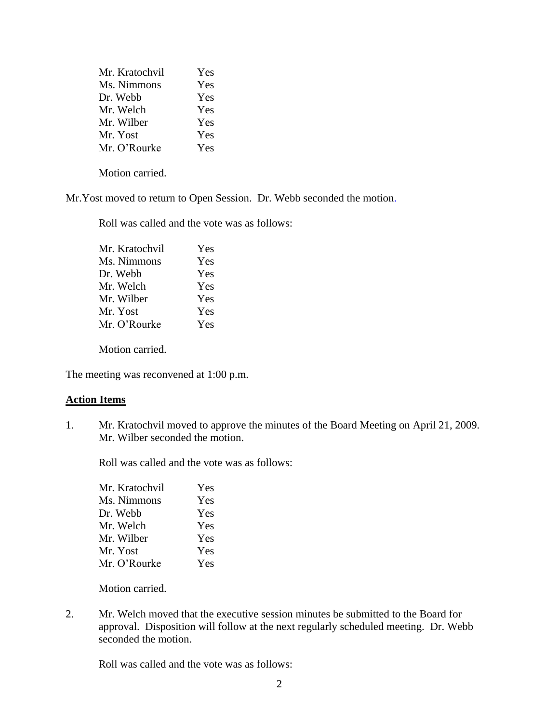| Mr. Kratochvil | Yes |
|----------------|-----|
| Ms. Nimmons    | Yes |
| Dr. Webb       | Yes |
| Mr. Welch      | Yes |
| Mr. Wilber     | Yes |
| Mr. Yost       | Yes |
| Mr. O'Rourke   | Yes |

Mr.Yost moved to return to Open Session. Dr. Webb seconded the motion.

Roll was called and the vote was as follows:

| Mr. Kratochvil | Yes |
|----------------|-----|
| Ms. Nimmons    | Yes |
| Dr. Webb       | Yes |
| Mr. Welch      | Yes |
| Mr. Wilber     | Yes |
| Mr. Yost       | Yes |
| Mr. O'Rourke   | Yes |
|                |     |

Motion carried.

The meeting was reconvened at 1:00 p.m.

## **Action Items**

1. Mr. Kratochvil moved to approve the minutes of the Board Meeting on April 21, 2009. Mr. Wilber seconded the motion.

Roll was called and the vote was as follows:

| Mr. Kratochvil | Yes |
|----------------|-----|
| Ms. Nimmons    | Yes |
| Dr. Webb       | Yes |
| Mr. Welch      | Yes |
| Mr. Wilber     | Yes |
| Mr. Yost       | Yes |
| Mr. O'Rourke   | Yes |
|                |     |

Motion carried.

2. Mr. Welch moved that the executive session minutes be submitted to the Board for approval. Disposition will follow at the next regularly scheduled meeting. Dr. Webb seconded the motion.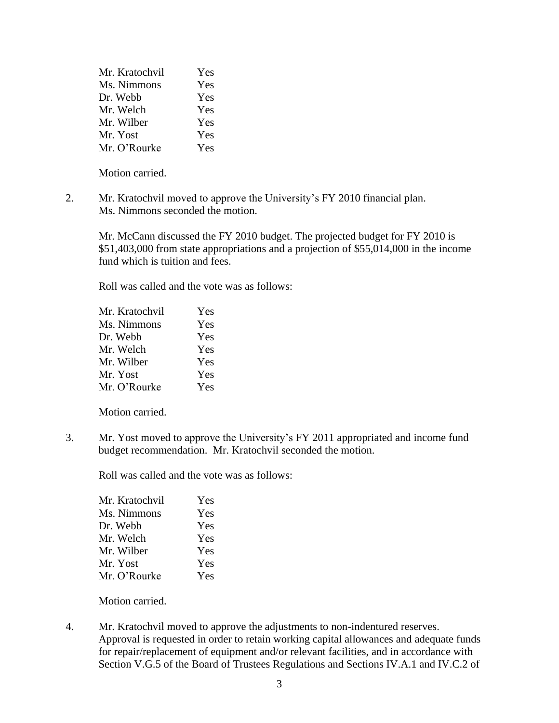| Mr. Kratochvil | Yes |
|----------------|-----|
| Ms. Nimmons    | Yes |
| Dr. Webb       | Yes |
| Mr. Welch      | Yes |
| Mr. Wilber     | Yes |
| Mr. Yost       | Yes |
| Mr. O'Rourke   | Yes |

2. Mr. Kratochvil moved to approve the University's FY 2010 financial plan. Ms. Nimmons seconded the motion.

Mr. McCann discussed the FY 2010 budget. The projected budget for FY 2010 is \$51,403,000 from state appropriations and a projection of \$55,014,000 in the income fund which is tuition and fees.

Roll was called and the vote was as follows:

| Mr. Kratochvil | Yes |
|----------------|-----|
| Ms. Nimmons    | Yes |
| Dr. Webb       | Yes |
| Mr. Welch      | Yes |
| Mr. Wilber     | Yes |
| Mr. Yost       | Yes |
| Mr. O'Rourke   | Yes |
|                |     |

Motion carried.

3. Mr. Yost moved to approve the University's FY 2011 appropriated and income fund budget recommendation. Mr. Kratochvil seconded the motion.

Roll was called and the vote was as follows:

| Yes |
|-----|
| Yes |
| Yes |
| Yes |
| Yes |
| Yes |
|     |

Motion carried.

4. Mr. Kratochvil moved to approve the adjustments to non-indentured reserves. Approval is requested in order to retain working capital allowances and adequate funds for repair/replacement of equipment and/or relevant facilities, and in accordance with Section V.G.5 of the Board of Trustees Regulations and Sections IV.A.1 and IV.C.2 of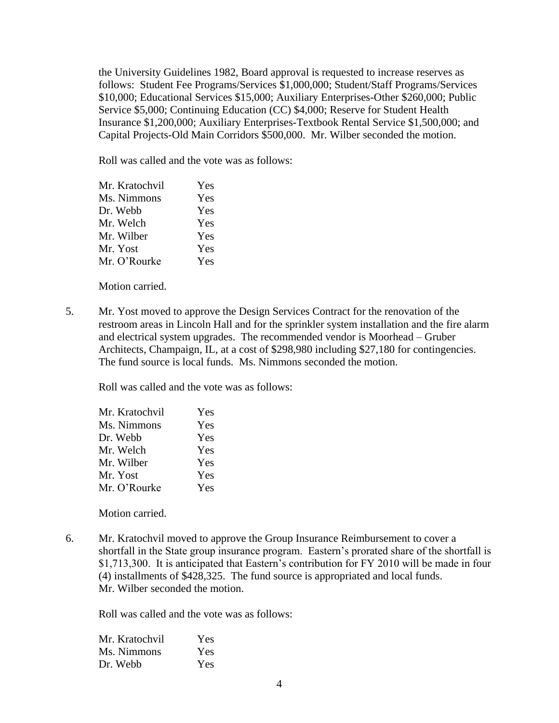the University Guidelines 1982, Board approval is requested to increase reserves as follows: Student Fee Programs/Services \$1,000,000; Student/Staff Programs/Services \$10,000; Educational Services \$15,000; Auxiliary Enterprises-Other \$260,000; Public Service \$5,000; Continuing Education (CC) \$4,000; Reserve for Student Health Insurance \$1,200,000; Auxiliary Enterprises-Textbook Rental Service \$1,500,000; and Capital Projects-Old Main Corridors \$500,000. Mr. Wilber seconded the motion.

Roll was called and the vote was as follows:

| Mr. Kratochvil | Yes |
|----------------|-----|
| Ms. Nimmons    | Yes |
| Dr. Webb       | Yes |
| Mr. Welch      | Yes |
| Mr. Wilber     | Yes |
| Mr. Yost       | Yes |
| Mr. O'Rourke   | Yes |
|                |     |

Motion carried.

5. Mr. Yost moved to approve the Design Services Contract for the renovation of the restroom areas in Lincoln Hall and for the sprinkler system installation and the fire alarm and electrical system upgrades. The recommended vendor is Moorhead – Gruber Architects, Champaign, IL, at a cost of \$298,980 including \$27,180 for contingencies. The fund source is local funds. Ms. Nimmons seconded the motion.

Roll was called and the vote was as follows:

| Yes |
|-----|
| Yes |
| Yes |
| Yes |
| Yes |
| Yes |
| Yes |
|     |

Motion carried.

6. Mr. Kratochvil moved to approve the Group Insurance Reimbursement to cover a shortfall in the State group insurance program. Eastern's prorated share of the shortfall is \$1,713,300. It is anticipated that Eastern's contribution for FY 2010 will be made in four (4) installments of \$428,325. The fund source is appropriated and local funds. Mr. Wilber seconded the motion.

| Mr. Kratochvil | <b>Yes</b> |
|----------------|------------|
| Ms. Nimmons    | Yes        |
| Dr. Webb       | Yes        |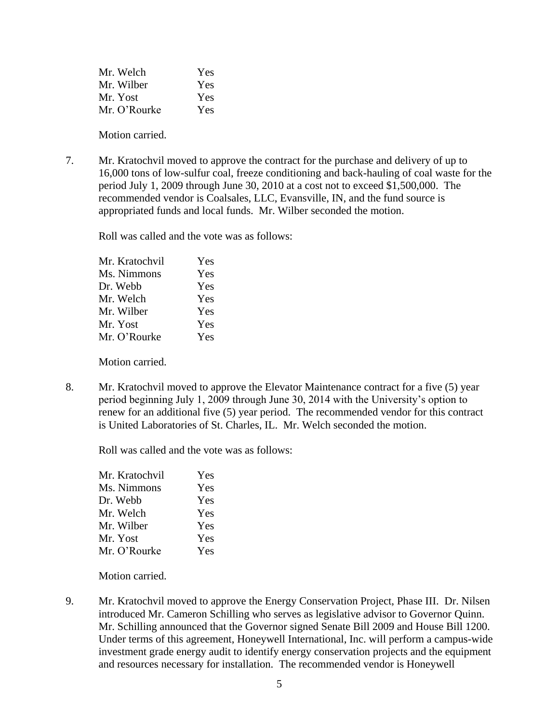| Mr. Welch   | Yes |
|-------------|-----|
| Mr. Wilber  | Yes |
| Mr. Yost    | Yes |
| Mr O'Rourke | Yes |

7. Mr. Kratochvil moved to approve the contract for the purchase and delivery of up to 16,000 tons of low-sulfur coal, freeze conditioning and back-hauling of coal waste for the period July 1, 2009 through June 30, 2010 at a cost not to exceed \$1,500,000. The recommended vendor is Coalsales, LLC, Evansville, IN, and the fund source is appropriated funds and local funds. Mr. Wilber seconded the motion.

Roll was called and the vote was as follows:

| Mr. Kratochvil | Yes |
|----------------|-----|
| Ms. Nimmons    | Yes |
| Dr. Webb       | Yes |
| Mr. Welch      | Yes |
| Mr. Wilber     | Yes |
| Mr. Yost       | Yes |
| Mr. O'Rourke   | Yes |
|                |     |

Motion carried.

8. Mr. Kratochvil moved to approve the Elevator Maintenance contract for a five (5) year period beginning July 1, 2009 through June 30, 2014 with the University's option to renew for an additional five (5) year period. The recommended vendor for this contract is United Laboratories of St. Charles, IL. Mr. Welch seconded the motion.

Roll was called and the vote was as follows:

| Mr. Kratochvil | Yes |
|----------------|-----|
| Ms. Nimmons    | Yes |
| Dr. Webb       | Yes |
| Mr. Welch      | Yes |
| Mr. Wilber     | Yes |
| Mr. Yost       | Yes |
| Mr. O'Rourke   | Yes |

Motion carried.

9. Mr. Kratochvil moved to approve the Energy Conservation Project, Phase III. Dr. Nilsen introduced Mr. Cameron Schilling who serves as legislative advisor to Governor Quinn. Mr. Schilling announced that the Governor signed Senate Bill 2009 and House Bill 1200. Under terms of this agreement, Honeywell International, Inc. will perform a campus-wide investment grade energy audit to identify energy conservation projects and the equipment and resources necessary for installation. The recommended vendor is Honeywell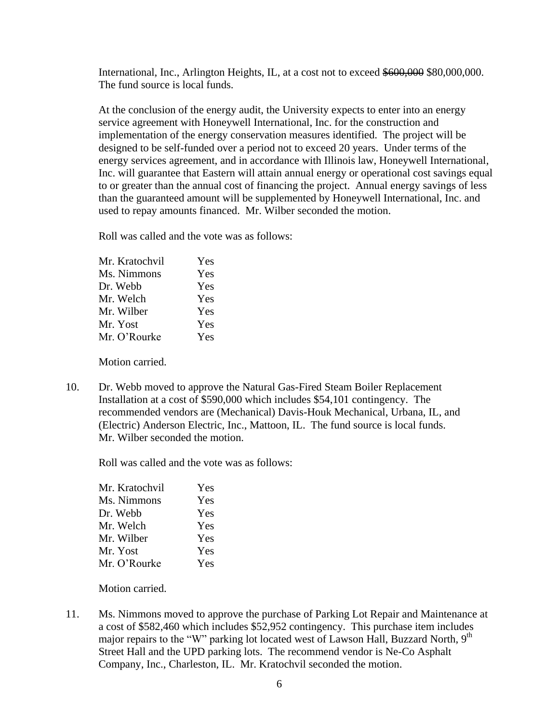International, Inc., Arlington Heights, IL, at a cost not to exceed \$600,000 \$80,000,000. The fund source is local funds.

At the conclusion of the energy audit, the University expects to enter into an energy service agreement with Honeywell International, Inc. for the construction and implementation of the energy conservation measures identified. The project will be designed to be self-funded over a period not to exceed 20 years. Under terms of the energy services agreement, and in accordance with Illinois law, Honeywell International, Inc. will guarantee that Eastern will attain annual energy or operational cost savings equal to or greater than the annual cost of financing the project. Annual energy savings of less than the guaranteed amount will be supplemented by Honeywell International, Inc. and used to repay amounts financed. Mr. Wilber seconded the motion.

Roll was called and the vote was as follows:

| Mr. Kratochvil | Yes |
|----------------|-----|
| Ms. Nimmons    | Yes |
| Dr. Webb       | Yes |
| Mr. Welch      | Yes |
| Mr. Wilber     | Yes |
| Mr. Yost       | Yes |
| Mr. O'Rourke   | Yes |
|                |     |

Motion carried.

10. Dr. Webb moved to approve the Natural Gas-Fired Steam Boiler Replacement Installation at a cost of \$590,000 which includes \$54,101 contingency. The recommended vendors are (Mechanical) Davis-Houk Mechanical, Urbana, IL, and (Electric) Anderson Electric, Inc., Mattoon, IL. The fund source is local funds. Mr. Wilber seconded the motion.

Roll was called and the vote was as follows:

| Yes |
|-----|
| Yes |
| Yes |
| Yes |
| Yes |
| Yes |
| Yes |
|     |

Motion carried.

11. Ms. Nimmons moved to approve the purchase of Parking Lot Repair and Maintenance at a cost of \$582,460 which includes \$52,952 contingency. This purchase item includes major repairs to the "W" parking lot located west of Lawson Hall, Buzzard North, 9<sup>th</sup> Street Hall and the UPD parking lots. The recommend vendor is Ne-Co Asphalt Company, Inc., Charleston, IL. Mr. Kratochvil seconded the motion.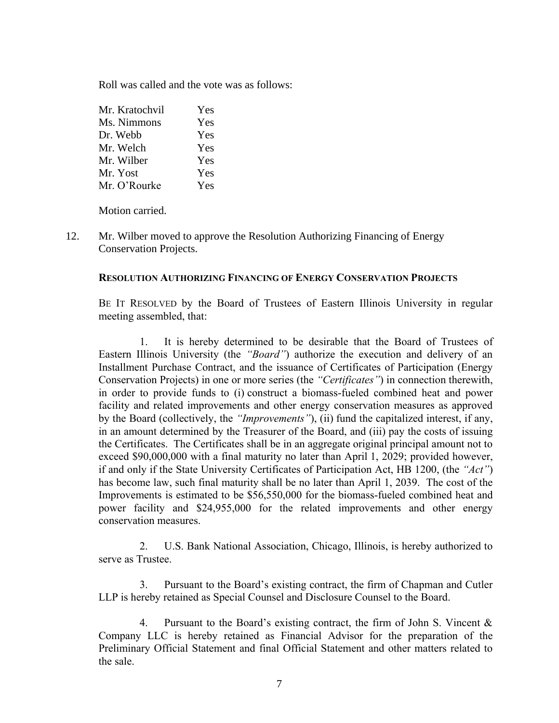Roll was called and the vote was as follows:

| Mr. Kratochvil | Yes |
|----------------|-----|
| Ms. Nimmons    | Yes |
| Dr. Webb       | Yes |
| Mr. Welch      | Yes |
| Mr. Wilber     | Yes |
| Mr. Yost       | Yes |
| Mr. O'Rourke   | Yes |

Motion carried.

12. Mr. Wilber moved to approve the Resolution Authorizing Financing of Energy Conservation Projects.

## **RESOLUTION AUTHORIZING FINANCING OF ENERGY CONSERVATION PROJECTS**

BE IT RESOLVED by the Board of Trustees of Eastern Illinois University in regular meeting assembled, that:

1. It is hereby determined to be desirable that the Board of Trustees of Eastern Illinois University (the *"Board"*) authorize the execution and delivery of an Installment Purchase Contract, and the issuance of Certificates of Participation (Energy Conservation Projects) in one or more series (the *"Certificates"*) in connection therewith, in order to provide funds to (i) construct a biomass-fueled combined heat and power facility and related improvements and other energy conservation measures as approved by the Board (collectively, the *"Improvements"*), (ii) fund the capitalized interest, if any, in an amount determined by the Treasurer of the Board, and (iii) pay the costs of issuing the Certificates. The Certificates shall be in an aggregate original principal amount not to exceed \$90,000,000 with a final maturity no later than April 1, 2029; provided however, if and only if the State University Certificates of Participation Act, HB 1200, (the *"Act"*) has become law, such final maturity shall be no later than April 1, 2039. The cost of the Improvements is estimated to be \$56,550,000 for the biomass-fueled combined heat and power facility and \$24,955,000 for the related improvements and other energy conservation measures.

2. U.S. Bank National Association, Chicago, Illinois, is hereby authorized to serve as Trustee.

3. Pursuant to the Board's existing contract, the firm of Chapman and Cutler LLP is hereby retained as Special Counsel and Disclosure Counsel to the Board.

4. Pursuant to the Board's existing contract, the firm of John S. Vincent & Company LLC is hereby retained as Financial Advisor for the preparation of the Preliminary Official Statement and final Official Statement and other matters related to the sale.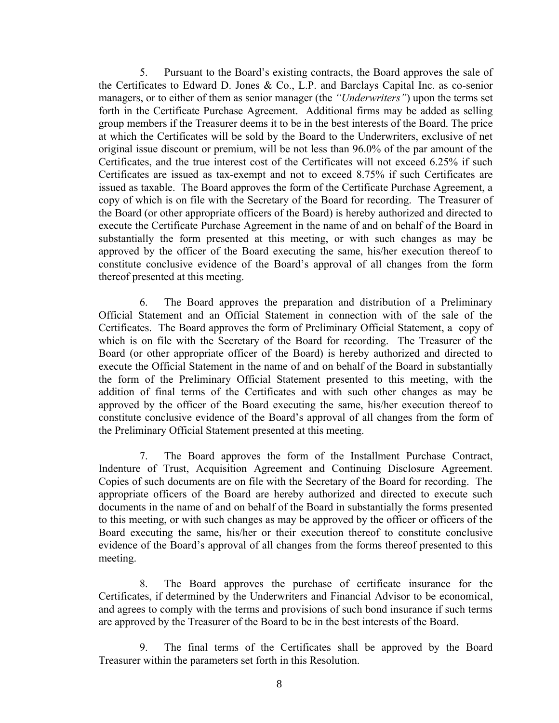5. Pursuant to the Board's existing contracts, the Board approves the sale of the Certificates to Edward D. Jones & Co., L.P. and Barclays Capital Inc. as co-senior managers, or to either of them as senior manager (the *"Underwriters"*) upon the terms set forth in the Certificate Purchase Agreement. Additional firms may be added as selling group members if the Treasurer deems it to be in the best interests of the Board. The price at which the Certificates will be sold by the Board to the Underwriters, exclusive of net original issue discount or premium, will be not less than 96.0% of the par amount of the Certificates, and the true interest cost of the Certificates will not exceed 6.25% if such Certificates are issued as tax-exempt and not to exceed 8.75% if such Certificates are issued as taxable. The Board approves the form of the Certificate Purchase Agreement, a copy of which is on file with the Secretary of the Board for recording. The Treasurer of the Board (or other appropriate officers of the Board) is hereby authorized and directed to execute the Certificate Purchase Agreement in the name of and on behalf of the Board in substantially the form presented at this meeting, or with such changes as may be approved by the officer of the Board executing the same, his/her execution thereof to constitute conclusive evidence of the Board's approval of all changes from the form thereof presented at this meeting.

6. The Board approves the preparation and distribution of a Preliminary Official Statement and an Official Statement in connection with of the sale of the Certificates. The Board approves the form of Preliminary Official Statement, a copy of which is on file with the Secretary of the Board for recording. The Treasurer of the Board (or other appropriate officer of the Board) is hereby authorized and directed to execute the Official Statement in the name of and on behalf of the Board in substantially the form of the Preliminary Official Statement presented to this meeting, with the addition of final terms of the Certificates and with such other changes as may be approved by the officer of the Board executing the same, his/her execution thereof to constitute conclusive evidence of the Board's approval of all changes from the form of the Preliminary Official Statement presented at this meeting.

7. The Board approves the form of the Installment Purchase Contract, Indenture of Trust, Acquisition Agreement and Continuing Disclosure Agreement. Copies of such documents are on file with the Secretary of the Board for recording. The appropriate officers of the Board are hereby authorized and directed to execute such documents in the name of and on behalf of the Board in substantially the forms presented to this meeting, or with such changes as may be approved by the officer or officers of the Board executing the same, his/her or their execution thereof to constitute conclusive evidence of the Board's approval of all changes from the forms thereof presented to this meeting.

8. The Board approves the purchase of certificate insurance for the Certificates, if determined by the Underwriters and Financial Advisor to be economical, and agrees to comply with the terms and provisions of such bond insurance if such terms are approved by the Treasurer of the Board to be in the best interests of the Board.

9. The final terms of the Certificates shall be approved by the Board Treasurer within the parameters set forth in this Resolution.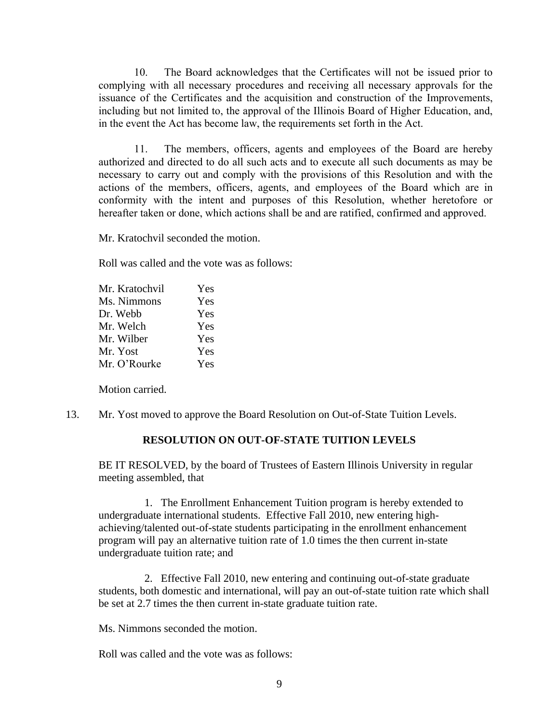10. The Board acknowledges that the Certificates will not be issued prior to complying with all necessary procedures and receiving all necessary approvals for the issuance of the Certificates and the acquisition and construction of the Improvements, including but not limited to, the approval of the Illinois Board of Higher Education, and, in the event the Act has become law, the requirements set forth in the Act.

11. The members, officers, agents and employees of the Board are hereby authorized and directed to do all such acts and to execute all such documents as may be necessary to carry out and comply with the provisions of this Resolution and with the actions of the members, officers, agents, and employees of the Board which are in conformity with the intent and purposes of this Resolution, whether heretofore or hereafter taken or done, which actions shall be and are ratified, confirmed and approved.

Mr. Kratochvil seconded the motion.

Roll was called and the vote was as follows:

| Mr. Kratochvil | Yes |
|----------------|-----|
| Ms. Nimmons    | Yes |
| Dr. Webb       | Yes |
| Mr. Welch      | Yes |
| Mr. Wilber     | Yes |
| Mr. Yost       | Yes |
| Mr. O'Rourke   | Yes |
|                |     |

Motion carried.

13. Mr. Yost moved to approve the Board Resolution on Out-of-State Tuition Levels.

## **RESOLUTION ON OUT-OF-STATE TUITION LEVELS**

BE IT RESOLVED, by the board of Trustees of Eastern Illinois University in regular meeting assembled, that

1. The Enrollment Enhancement Tuition program is hereby extended to undergraduate international students. Effective Fall 2010, new entering highachieving/talented out-of-state students participating in the enrollment enhancement program will pay an alternative tuition rate of 1.0 times the then current in-state undergraduate tuition rate; and

2. Effective Fall 2010, new entering and continuing out-of-state graduate students, both domestic and international, will pay an out-of-state tuition rate which shall be set at 2.7 times the then current in-state graduate tuition rate.

Ms. Nimmons seconded the motion.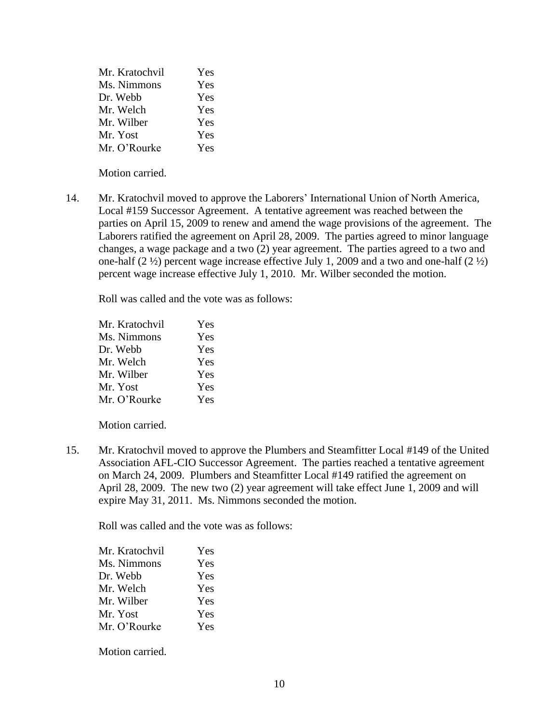| Mr. Kratochvil | Yes |
|----------------|-----|
| Ms. Nimmons    | Yes |
| Dr. Webb       | Yes |
| Mr. Welch      | Yes |
| Mr. Wilber     | Yes |
| Mr. Yost       | Yes |
| Mr. O'Rourke   | Yes |

14. Mr. Kratochvil moved to approve the Laborers' International Union of North America, Local #159 Successor Agreement. A tentative agreement was reached between the parties on April 15, 2009 to renew and amend the wage provisions of the agreement. The Laborers ratified the agreement on April 28, 2009. The parties agreed to minor language changes, a wage package and a two (2) year agreement. The parties agreed to a two and one-half  $(2 \frac{1}{2})$  percent wage increase effective July 1, 2009 and a two and one-half  $(2 \frac{1}{2})$ percent wage increase effective July 1, 2010. Mr. Wilber seconded the motion.

Roll was called and the vote was as follows:

| Mr. Kratochvil | Yes |
|----------------|-----|
| Ms. Nimmons    | Yes |
| Dr. Webb       | Yes |
| Mr. Welch      | Yes |
| Mr. Wilber     | Yes |
| Mr. Yost       | Yes |
| Mr. O'Rourke   | Yes |

Motion carried.

15. Mr. Kratochvil moved to approve the Plumbers and Steamfitter Local #149 of the United Association AFL-CIO Successor Agreement. The parties reached a tentative agreement on March 24, 2009. Plumbers and Steamfitter Local #149 ratified the agreement on April 28, 2009. The new two (2) year agreement will take effect June 1, 2009 and will expire May 31, 2011. Ms. Nimmons seconded the motion.

Roll was called and the vote was as follows:

| Mr. Kratochvil | <b>Yes</b> |
|----------------|------------|
| Ms. Nimmons    | Yes        |
| Dr. Webb       | Yes        |
| Mr. Welch      | <b>Yes</b> |
| Mr. Wilber     | Yes        |
| Mr. Yost       | Yes        |
| Mr. O'Rourke   | Yes        |
|                |            |

Motion carried.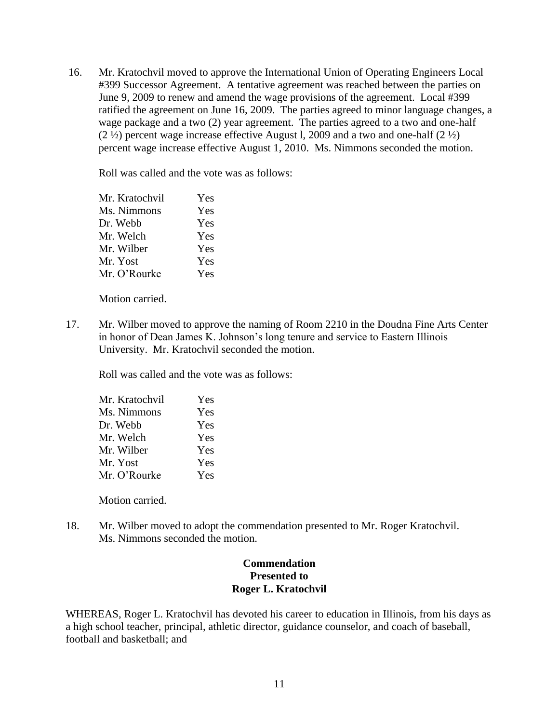16. Mr. Kratochvil moved to approve the International Union of Operating Engineers Local #399 Successor Agreement. A tentative agreement was reached between the parties on June 9, 2009 to renew and amend the wage provisions of the agreement. Local #399 ratified the agreement on June 16, 2009. The parties agreed to minor language changes, a wage package and a two (2) year agreement. The parties agreed to a two and one-half  $(2 \frac{1}{2})$  percent wage increase effective August l, 2009 and a two and one-half  $(2 \frac{1}{2})$ percent wage increase effective August 1, 2010. Ms. Nimmons seconded the motion.

Roll was called and the vote was as follows:

| Mr. Kratochvil | Yes |
|----------------|-----|
| Ms. Nimmons    | Yes |
| Dr. Webb       | Yes |
| Mr. Welch      | Yes |
| Mr. Wilber     | Yes |
| Mr. Yost       | Yes |
| Mr. O'Rourke   | Yes |

Motion carried.

17. Mr. Wilber moved to approve the naming of Room 2210 in the Doudna Fine Arts Center in honor of Dean James K. Johnson's long tenure and service to Eastern Illinois University. Mr. Kratochvil seconded the motion.

Roll was called and the vote was as follows:

| Mr. Kratochvil | Yes |
|----------------|-----|
| Ms. Nimmons    | Yes |
| Dr. Webb       | Yes |
| Mr. Welch      | Yes |
| Mr. Wilber     | Yes |
| Mr. Yost       | Yes |
| Mr. O'Rourke   | Yes |
|                |     |

Motion carried.

18. Mr. Wilber moved to adopt the commendation presented to Mr. Roger Kratochvil. Ms. Nimmons seconded the motion.

# **Commendation Presented to Roger L. Kratochvil**

WHEREAS, Roger L. Kratochvil has devoted his career to education in Illinois, from his days as a high school teacher, principal, athletic director, guidance counselor, and coach of baseball, football and basketball; and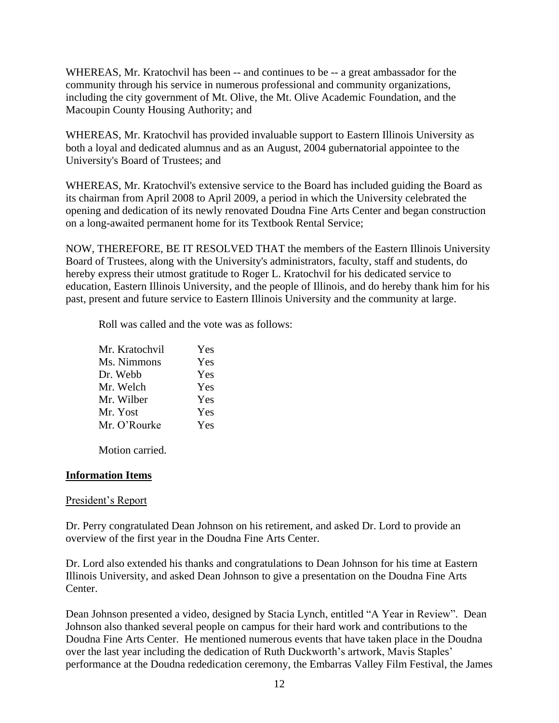WHEREAS, Mr. Kratochvil has been -- and continues to be -- a great ambassador for the community through his service in numerous professional and community organizations, including the city government of Mt. Olive, the Mt. Olive Academic Foundation, and the Macoupin County Housing Authority; and

WHEREAS, Mr. Kratochvil has provided invaluable support to Eastern Illinois University as both a loyal and dedicated alumnus and as an August, 2004 gubernatorial appointee to the University's Board of Trustees; and

WHEREAS, Mr. Kratochvil's extensive service to the Board has included guiding the Board as its chairman from April 2008 to April 2009, a period in which the University celebrated the opening and dedication of its newly renovated Doudna Fine Arts Center and began construction on a long-awaited permanent home for its Textbook Rental Service;

NOW, THEREFORE, BE IT RESOLVED THAT the members of the Eastern Illinois University Board of Trustees, along with the University's administrators, faculty, staff and students, do hereby express their utmost gratitude to Roger L. Kratochvil for his dedicated service to education, Eastern Illinois University, and the people of Illinois, and do hereby thank him for his past, present and future service to Eastern Illinois University and the community at large.

Roll was called and the vote was as follows:

| Mr. Kratochvil | Yes |
|----------------|-----|
| Ms. Nimmons    | Yes |
| Dr. Webb       | Yes |
| Mr. Welch      | Yes |
| Mr. Wilber     | Yes |
| Mr. Yost       | Yes |
| Mr. O'Rourke   | Yes |

Motion carried.

## **Information Items**

## President's Report

Dr. Perry congratulated Dean Johnson on his retirement, and asked Dr. Lord to provide an overview of the first year in the Doudna Fine Arts Center.

Dr. Lord also extended his thanks and congratulations to Dean Johnson for his time at Eastern Illinois University, and asked Dean Johnson to give a presentation on the Doudna Fine Arts Center.

Dean Johnson presented a video, designed by Stacia Lynch, entitled "A Year in Review". Dean Johnson also thanked several people on campus for their hard work and contributions to the Doudna Fine Arts Center. He mentioned numerous events that have taken place in the Doudna over the last year including the dedication of Ruth Duckworth's artwork, Mavis Staples' performance at the Doudna rededication ceremony, the Embarras Valley Film Festival, the James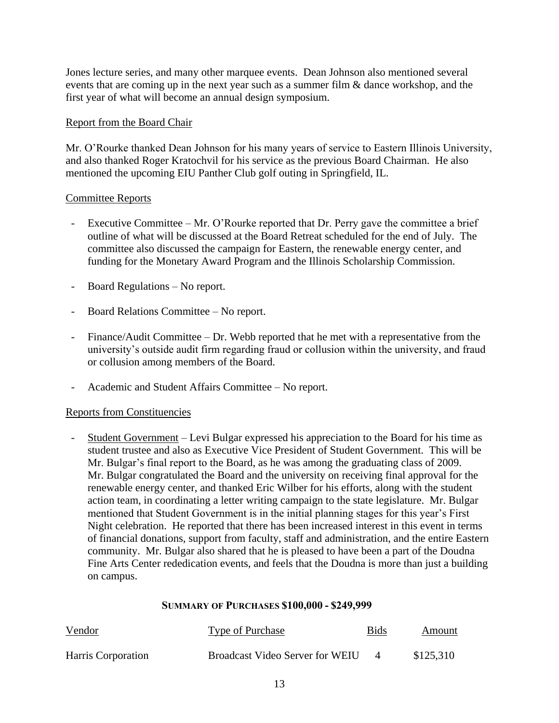Jones lecture series, and many other marquee events. Dean Johnson also mentioned several events that are coming up in the next year such as a summer film & dance workshop, and the first year of what will become an annual design symposium.

# Report from the Board Chair

Mr. O'Rourke thanked Dean Johnson for his many years of service to Eastern Illinois University, and also thanked Roger Kratochvil for his service as the previous Board Chairman. He also mentioned the upcoming EIU Panther Club golf outing in Springfield, IL.

# Committee Reports

- Executive Committee Mr. O'Rourke reported that Dr. Perry gave the committee a brief outline of what will be discussed at the Board Retreat scheduled for the end of July. The committee also discussed the campaign for Eastern, the renewable energy center, and funding for the Monetary Award Program and the Illinois Scholarship Commission.
- Board Regulations No report.
- Board Relations Committee No report.
- Finance/Audit Committee Dr. Webb reported that he met with a representative from the university's outside audit firm regarding fraud or collusion within the university, and fraud or collusion among members of the Board.
- Academic and Student Affairs Committee No report.

## Reports from Constituencies

- Student Government – Levi Bulgar expressed his appreciation to the Board for his time as student trustee and also as Executive Vice President of Student Government. This will be Mr. Bulgar's final report to the Board, as he was among the graduating class of 2009. Mr. Bulgar congratulated the Board and the university on receiving final approval for the renewable energy center, and thanked Eric Wilber for his efforts, along with the student action team, in coordinating a letter writing campaign to the state legislature. Mr. Bulgar mentioned that Student Government is in the initial planning stages for this year's First Night celebration. He reported that there has been increased interest in this event in terms of financial donations, support from faculty, staff and administration, and the entire Eastern community. Mr. Bulgar also shared that he is pleased to have been a part of the Doudna Fine Arts Center rededication events, and feels that the Doudna is more than just a building on campus.

## **SUMMARY OF PURCHASES \$100,000 - \$249,999**

| Vendor             | Type of Purchase                       | <b>Bids</b> | Amount    |
|--------------------|----------------------------------------|-------------|-----------|
| Harris Corporation | <b>Broadcast Video Server for WEIU</b> |             | \$125,310 |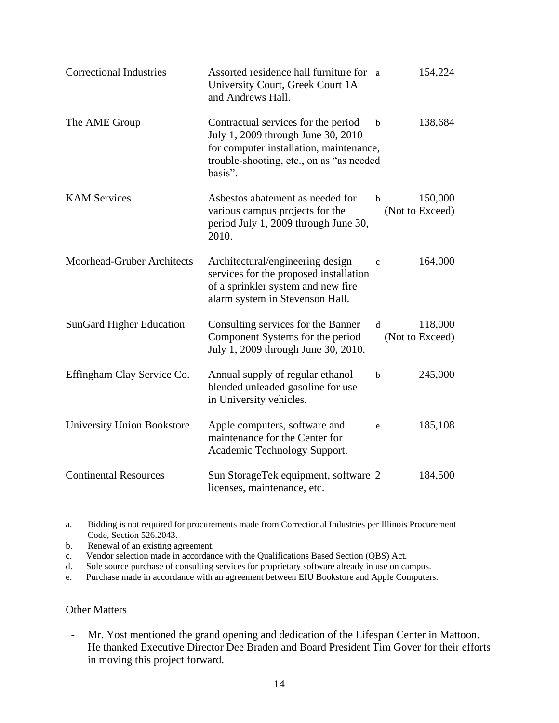| <b>Correctional Industries</b>    | Assorted residence hall furniture for a<br>University Court, Greek Court 1A<br>and Andrews Hall.                                                                            |              | 154,224                    |
|-----------------------------------|-----------------------------------------------------------------------------------------------------------------------------------------------------------------------------|--------------|----------------------------|
| The AME Group                     | Contractual services for the period<br>July 1, 2009 through June 30, 2010<br>for computer installation, maintenance,<br>trouble-shooting, etc., on as "as needed<br>basis". | $\mathbf b$  | 138,684                    |
| <b>KAM</b> Services               | Asbestos abatement as needed for<br>various campus projects for the<br>period July 1, 2009 through June 30,<br>2010.                                                        | b            | 150,000<br>(Not to Exceed) |
| <b>Moorhead-Gruber Architects</b> | Architectural/engineering design<br>services for the proposed installation<br>of a sprinkler system and new fire<br>alarm system in Stevenson Hall.                         | $\mathbf{c}$ | 164,000                    |
| <b>SunGard Higher Education</b>   | Consulting services for the Banner<br>Component Systems for the period<br>July 1, 2009 through June 30, 2010.                                                               | d            | 118,000<br>(Not to Exceed) |
| Effingham Clay Service Co.        | Annual supply of regular ethanol<br>blended unleaded gasoline for use<br>in University vehicles.                                                                            | b            | 245,000                    |
| <b>University Union Bookstore</b> | Apple computers, software and<br>maintenance for the Center for<br>Academic Technology Support.                                                                             | e            | 185,108                    |
| <b>Continental Resources</b>      | Sun StorageTek equipment, software 2<br>licenses, maintenance, etc.                                                                                                         |              | 184,500                    |

a. Bidding is not required for procurements made from Correctional Industries per Illinois Procurement Code, Section 526.2043.

b. Renewal of an existing agreement.

c. Vendor selection made in accordance with the Qualifications Based Section (QBS) Act.

d. Sole source purchase of consulting services for proprietary software already in use on campus.

e. Purchase made in accordance with an agreement between EIU Bookstore and Apple Computers.

#### **Other Matters**

- Mr. Yost mentioned the grand opening and dedication of the Lifespan Center in Mattoon. He thanked Executive Director Dee Braden and Board President Tim Gover for their efforts in moving this project forward.